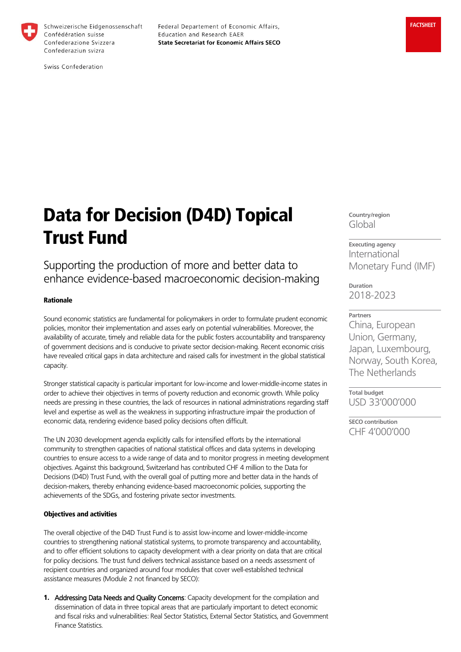

Schweizerische Eidgenossenschaft Confédération suisse Confederazione Svizzera Confederaziun svizra

Federal Departement of Economic Affairs, Education and Research EAER **State Secretariat for Economic Affairs SECO** 

Swiss Confederation

# Data for Decision (D4D) Topical Trust Fund

Supporting the production of more and better data to enhance evidence-based macroeconomic decision-making

## Rationale

Sound economic statistics are fundamental for policymakers in order to formulate prudent economic policies, monitor their implementation and asses early on potential vulnerabilities. Moreover, the availability of accurate, timely and reliable data for the public fosters accountability and transparency of government decisions and is conducive to private sector decision-making. Recent economic crisis have revealed critical gaps in data architecture and raised calls for investment in the global statistical capacity.

Stronger statistical capacity is particular important for low-income and lower-middle-income states in order to achieve their objectives in terms of poverty reduction and economic growth. While policy needs are pressing in these countries, the lack of resources in national administrations regarding staff level and expertise as well as the weakness in supporting infrastructure impair the production of economic data, rendering evidence based policy decisions often difficult.

The UN 2030 development agenda explicitly calls for intensified efforts by the international community to strengthen capacities of national statistical offices and data systems in developing countries to ensure access to a wide range of data and to monitor progress in meeting development objectives. Against this background, Switzerland has contributed CHF 4 million to the Data for Decisions (D4D) Trust Fund, with the overall goal of putting more and better data in the hands of decision-makers, thereby enhancing evidence-based macroeconomic policies, supporting the achievements of the SDGs, and fostering private sector investments.

#### Objectives and activities

The overall objective of the D4D Trust Fund is to assist low-income and lower-middle-income countries to strengthening national statistical systems, to promote transparency and accountability, and to offer efficient solutions to capacity development with a clear priority on data that are critical for policy decisions. The trust fund delivers technical assistance based on a needs assessment of recipient countries and organized around four modules that cover well-established technical assistance measures (Module 2 not financed by SECO):

1. Addressing Data Needs and Quality Concerns: Capacity development for the compilation and dissemination of data in three topical areas that are particularly important to detect economic and fiscal risks and vulnerabilities: Real Sector Statistics, External Sector Statistics, and Government Finance Statistics.

**Country/region** Global

**Executing agency** International Monetary Fund (IMF)

**Duration** 2018-2023

**Partners** China, European Union, Germany, Japan, Luxembourg, Norway, South Korea, The Netherlands

**Total budget** USD 33'000'000

**SECO contribution** CHF 4'000'000